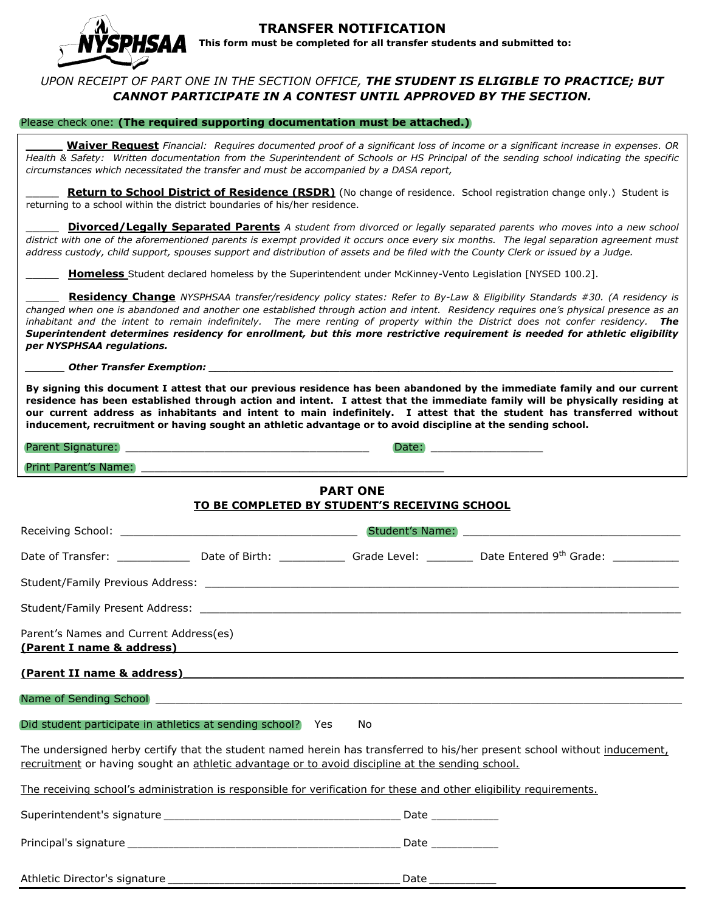

#### **TRANSFER NOTIFICATION This form must be completed for all transfer students and submitted to:**

## *UPON RECEIPT OF PART ONE IN THE SECTION OFFICE, THE STUDENT IS ELIGIBLE TO PRACTICE; BUT CANNOT PARTICIPATE IN A CONTEST UNTIL APPROVED BY THE SECTION.*

#### Please check one: **(The required supporting documentation must be attached.)**

**\_\_\_\_\_ Waiver Request** *Financial: Requires documented proof of a significant loss of income or a significant increase in expenses. OR Health & Safety: Written documentation from the Superintendent of Schools or HS Principal of the sending school indicating the specific circumstances which necessitated the transfer and must be accompanied by a DASA report,*

Return to School District of Residence (RSDR) (No change of residence. School registration change only.) Student is returning to a school within the district boundaries of his/her residence.

\_\_\_\_\_ **Divorced/Legally Separated Parents** *A student from divorced or legally separated parents who moves into a new school district with one of the aforementioned parents is exempt provided it occurs once every six months. The legal separation agreement must address custody, child support, spouses support and distribution of assets and be filed with the County Clerk or issued by a Judge.* 

**\_\_\_\_\_ Homeless** Student declared homeless by the Superintendent under McKinney-Vento Legislation [NYSED 100.2].

\_\_\_\_\_ **Residency Change** *NYSPHSAA transfer/residency policy states: Refer to By-Law & Eligibility Standards #30. (A residency is changed when one is abandoned and another one established through action and intent. Residency requires one's physical presence as an inhabitant and the intent to remain indefinitely. The mere renting of property within the District does not confer residency. The Superintendent determines residency for enrollment, but this more restrictive requirement is needed for athletic eligibility per NYSPHSAA regulations.*

*\_\_\_\_\_\_ Other Transfer Exemption: \_\_\_\_\_\_\_\_\_\_\_\_\_\_\_\_\_\_\_\_\_\_\_\_\_\_\_\_\_\_\_\_\_\_\_\_\_\_\_\_\_\_\_\_\_\_\_\_\_\_\_\_\_\_\_\_\_\_\_\_\_\_\_\_\_\_\_\_\_\_\_*

**By signing this document I attest that our previous residence has been abandoned by the immediate family and our current residence has been established through action and intent. I attest that the immediate family will be physically residing at our current address as inhabitants and intent to main indefinitely. I attest that the student has transferred without inducement, recruitment or having sought an athletic advantage or to avoid discipline at the sending school.**

Parent Signature: \_\_\_\_\_\_\_\_\_\_\_\_\_\_\_\_\_\_\_\_\_\_\_\_\_\_\_\_\_\_\_\_\_\_\_\_\_ Date: \_\_\_\_\_\_\_\_\_\_\_\_\_\_\_\_\_

Print Parent's Name:

### **PART ONE TO BE COMPLETED BY STUDENT'S RECEIVING SCHOOL**

|                                                                                                                                                                                                                                         |  |  | Date of Transfer: ________________ Date of Birth: _______________ Grade Level: __________ Date Entered 9 <sup>th</sup> Grade: ____________ |  |  |  |  |
|-----------------------------------------------------------------------------------------------------------------------------------------------------------------------------------------------------------------------------------------|--|--|--------------------------------------------------------------------------------------------------------------------------------------------|--|--|--|--|
|                                                                                                                                                                                                                                         |  |  |                                                                                                                                            |  |  |  |  |
|                                                                                                                                                                                                                                         |  |  |                                                                                                                                            |  |  |  |  |
| Parent's Names and Current Address(es)                                                                                                                                                                                                  |  |  |                                                                                                                                            |  |  |  |  |
| <u>(Parent II name &amp; address)</u> and the second second second second second second second second second second second second second second second second second second second second second second second second second second sec |  |  |                                                                                                                                            |  |  |  |  |
| Name of Sending School Decomposition and the control of the control of the control of the control of the control of the control of the control of the control of the control of the control of the control of the control of t          |  |  |                                                                                                                                            |  |  |  |  |
| Did student participate in athletics at sending school? Yes No                                                                                                                                                                          |  |  |                                                                                                                                            |  |  |  |  |
| The undersigned herby certify that the student named herein has transferred to his/her present school without inducement,<br>recruitment or having sought an athletic advantage or to avoid discipline at the sending school.           |  |  |                                                                                                                                            |  |  |  |  |
| The receiving school's administration is responsible for verification for these and other eligibility requirements.                                                                                                                     |  |  |                                                                                                                                            |  |  |  |  |
|                                                                                                                                                                                                                                         |  |  |                                                                                                                                            |  |  |  |  |
|                                                                                                                                                                                                                                         |  |  |                                                                                                                                            |  |  |  |  |
|                                                                                                                                                                                                                                         |  |  |                                                                                                                                            |  |  |  |  |

Athletic Director's signature experiments are all the Date  $\Box$